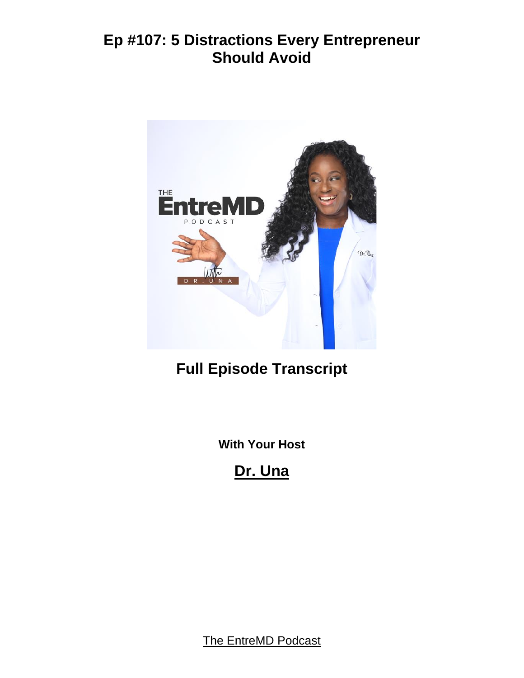

# **Full Episode Transcript**

**With Your Host**

**Dr. Una**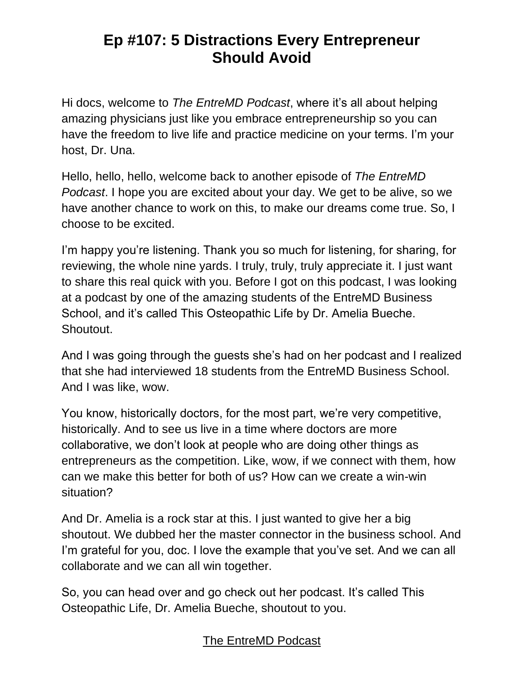Hi docs, welcome to *The EntreMD Podcast*, where it's all about helping amazing physicians just like you embrace entrepreneurship so you can have the freedom to live life and practice medicine on your terms. I'm your host, Dr. Una.

Hello, hello, hello, welcome back to another episode of *The EntreMD Podcast*. I hope you are excited about your day. We get to be alive, so we have another chance to work on this, to make our dreams come true. So, I choose to be excited.

I'm happy you're listening. Thank you so much for listening, for sharing, for reviewing, the whole nine yards. I truly, truly, truly appreciate it. I just want to share this real quick with you. Before I got on this podcast, I was looking at a podcast by one of the amazing students of the EntreMD Business School, and it's called This Osteopathic Life by Dr. Amelia Bueche. Shoutout.

And I was going through the guests she's had on her podcast and I realized that she had interviewed 18 students from the EntreMD Business School. And I was like, wow.

You know, historically doctors, for the most part, we're very competitive, historically. And to see us live in a time where doctors are more collaborative, we don't look at people who are doing other things as entrepreneurs as the competition. Like, wow, if we connect with them, how can we make this better for both of us? How can we create a win-win situation?

And Dr. Amelia is a rock star at this. I just wanted to give her a big shoutout. We dubbed her the master connector in the business school. And I'm grateful for you, doc. I love the example that you've set. And we can all collaborate and we can all win together.

So, you can head over and go check out her podcast. It's called This Osteopathic Life, Dr. Amelia Bueche, shoutout to you.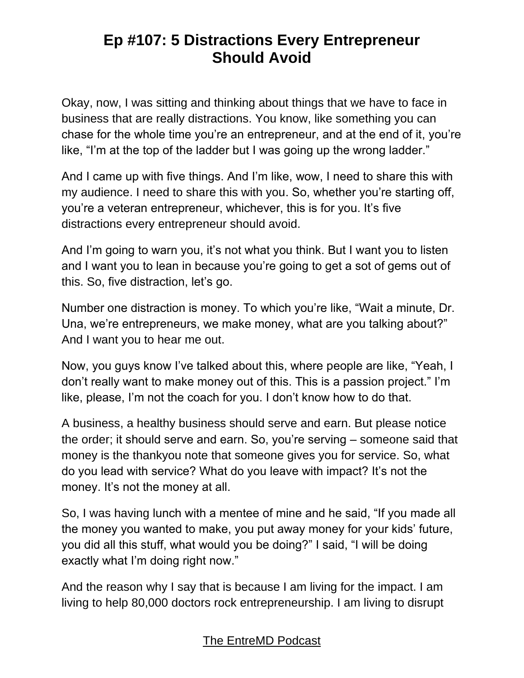Okay, now, I was sitting and thinking about things that we have to face in business that are really distractions. You know, like something you can chase for the whole time you're an entrepreneur, and at the end of it, you're like, "I'm at the top of the ladder but I was going up the wrong ladder."

And I came up with five things. And I'm like, wow, I need to share this with my audience. I need to share this with you. So, whether you're starting off, you're a veteran entrepreneur, whichever, this is for you. It's five distractions every entrepreneur should avoid.

And I'm going to warn you, it's not what you think. But I want you to listen and I want you to lean in because you're going to get a sot of gems out of this. So, five distraction, let's go.

Number one distraction is money. To which you're like, "Wait a minute, Dr. Una, we're entrepreneurs, we make money, what are you talking about?" And I want you to hear me out.

Now, you guys know I've talked about this, where people are like, "Yeah, I don't really want to make money out of this. This is a passion project." I'm like, please, I'm not the coach for you. I don't know how to do that.

A business, a healthy business should serve and earn. But please notice the order; it should serve and earn. So, you're serving – someone said that money is the thankyou note that someone gives you for service. So, what do you lead with service? What do you leave with impact? It's not the money. It's not the money at all.

So, I was having lunch with a mentee of mine and he said, "If you made all the money you wanted to make, you put away money for your kids' future, you did all this stuff, what would you be doing?" I said, "I will be doing exactly what I'm doing right now."

And the reason why I say that is because I am living for the impact. I am living to help 80,000 doctors rock entrepreneurship. I am living to disrupt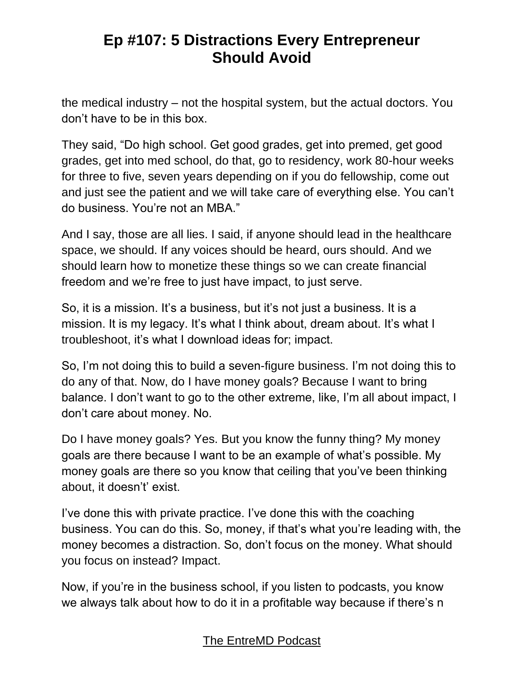the medical industry – not the hospital system, but the actual doctors. You don't have to be in this box.

They said, "Do high school. Get good grades, get into premed, get good grades, get into med school, do that, go to residency, work 80-hour weeks for three to five, seven years depending on if you do fellowship, come out and just see the patient and we will take care of everything else. You can't do business. You're not an MBA."

And I say, those are all lies. I said, if anyone should lead in the healthcare space, we should. If any voices should be heard, ours should. And we should learn how to monetize these things so we can create financial freedom and we're free to just have impact, to just serve.

So, it is a mission. It's a business, but it's not just a business. It is a mission. It is my legacy. It's what I think about, dream about. It's what I troubleshoot, it's what I download ideas for; impact.

So, I'm not doing this to build a seven-figure business. I'm not doing this to do any of that. Now, do I have money goals? Because I want to bring balance. I don't want to go to the other extreme, like, I'm all about impact, I don't care about money. No.

Do I have money goals? Yes. But you know the funny thing? My money goals are there because I want to be an example of what's possible. My money goals are there so you know that ceiling that you've been thinking about, it doesn't' exist.

I've done this with private practice. I've done this with the coaching business. You can do this. So, money, if that's what you're leading with, the money becomes a distraction. So, don't focus on the money. What should you focus on instead? Impact.

Now, if you're in the business school, if you listen to podcasts, you know we always talk about how to do it in a profitable way because if there's n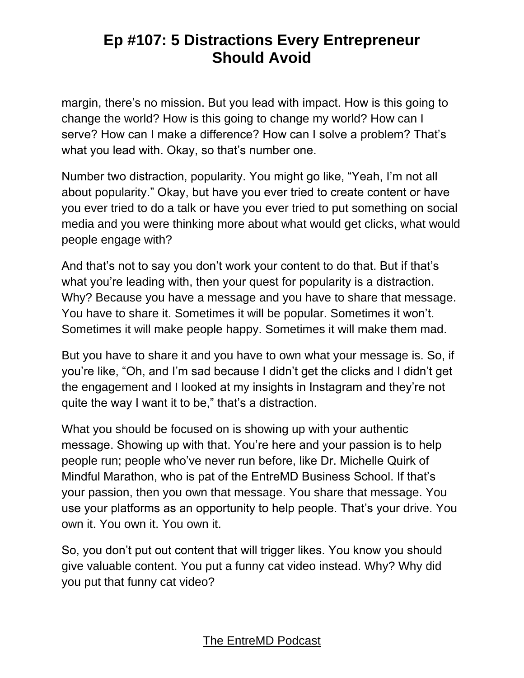margin, there's no mission. But you lead with impact. How is this going to change the world? How is this going to change my world? How can I serve? How can I make a difference? How can I solve a problem? That's what you lead with. Okay, so that's number one.

Number two distraction, popularity. You might go like, "Yeah, I'm not all about popularity." Okay, but have you ever tried to create content or have you ever tried to do a talk or have you ever tried to put something on social media and you were thinking more about what would get clicks, what would people engage with?

And that's not to say you don't work your content to do that. But if that's what you're leading with, then your quest for popularity is a distraction. Why? Because you have a message and you have to share that message. You have to share it. Sometimes it will be popular. Sometimes it won't. Sometimes it will make people happy. Sometimes it will make them mad.

But you have to share it and you have to own what your message is. So, if you're like, "Oh, and I'm sad because I didn't get the clicks and I didn't get the engagement and I looked at my insights in Instagram and they're not quite the way I want it to be," that's a distraction.

What you should be focused on is showing up with your authentic message. Showing up with that. You're here and your passion is to help people run; people who've never run before, like Dr. Michelle Quirk of Mindful Marathon, who is pat of the EntreMD Business School. If that's your passion, then you own that message. You share that message. You use your platforms as an opportunity to help people. That's your drive. You own it. You own it. You own it.

So, you don't put out content that will trigger likes. You know you should give valuable content. You put a funny cat video instead. Why? Why did you put that funny cat video?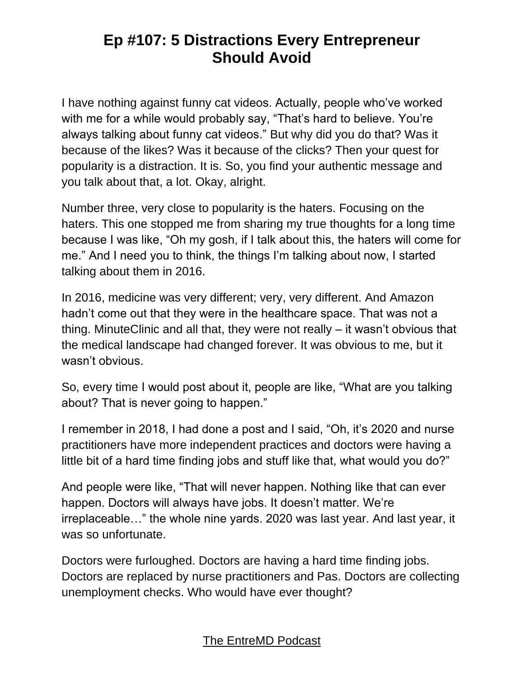I have nothing against funny cat videos. Actually, people who've worked with me for a while would probably say, "That's hard to believe. You're always talking about funny cat videos." But why did you do that? Was it because of the likes? Was it because of the clicks? Then your quest for popularity is a distraction. It is. So, you find your authentic message and you talk about that, a lot. Okay, alright.

Number three, very close to popularity is the haters. Focusing on the haters. This one stopped me from sharing my true thoughts for a long time because I was like, "Oh my gosh, if I talk about this, the haters will come for me." And I need you to think, the things I'm talking about now, I started talking about them in 2016.

In 2016, medicine was very different; very, very different. And Amazon hadn't come out that they were in the healthcare space. That was not a thing. MinuteClinic and all that, they were not really – it wasn't obvious that the medical landscape had changed forever. It was obvious to me, but it wasn't obvious.

So, every time I would post about it, people are like, "What are you talking about? That is never going to happen."

I remember in 2018, I had done a post and I said, "Oh, it's 2020 and nurse practitioners have more independent practices and doctors were having a little bit of a hard time finding jobs and stuff like that, what would you do?"

And people were like, "That will never happen. Nothing like that can ever happen. Doctors will always have jobs. It doesn't matter. We're irreplaceable…" the whole nine yards. 2020 was last year. And last year, it was so unfortunate.

Doctors were furloughed. Doctors are having a hard time finding jobs. Doctors are replaced by nurse practitioners and Pas. Doctors are collecting unemployment checks. Who would have ever thought?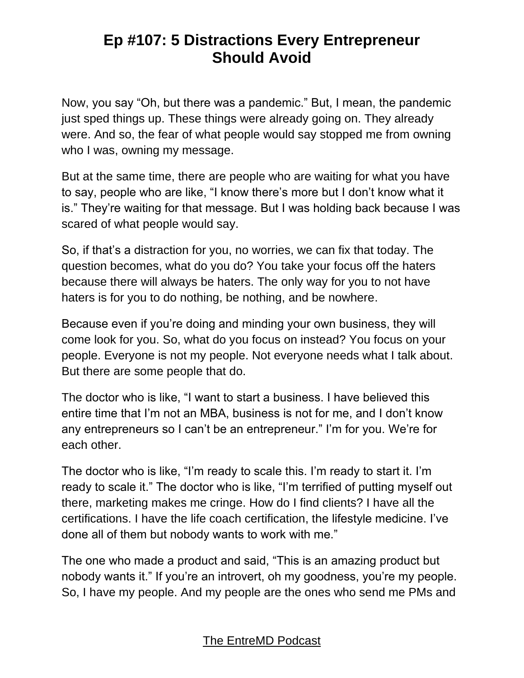Now, you say "Oh, but there was a pandemic." But, I mean, the pandemic just sped things up. These things were already going on. They already were. And so, the fear of what people would say stopped me from owning who I was, owning my message.

But at the same time, there are people who are waiting for what you have to say, people who are like, "I know there's more but I don't know what it is." They're waiting for that message. But I was holding back because I was scared of what people would say.

So, if that's a distraction for you, no worries, we can fix that today. The question becomes, what do you do? You take your focus off the haters because there will always be haters. The only way for you to not have haters is for you to do nothing, be nothing, and be nowhere.

Because even if you're doing and minding your own business, they will come look for you. So, what do you focus on instead? You focus on your people. Everyone is not my people. Not everyone needs what I talk about. But there are some people that do.

The doctor who is like, "I want to start a business. I have believed this entire time that I'm not an MBA, business is not for me, and I don't know any entrepreneurs so I can't be an entrepreneur." I'm for you. We're for each other.

The doctor who is like, "I'm ready to scale this. I'm ready to start it. I'm ready to scale it." The doctor who is like, "I'm terrified of putting myself out there, marketing makes me cringe. How do I find clients? I have all the certifications. I have the life coach certification, the lifestyle medicine. I've done all of them but nobody wants to work with me."

The one who made a product and said, "This is an amazing product but nobody wants it." If you're an introvert, oh my goodness, you're my people. So, I have my people. And my people are the ones who send me PMs and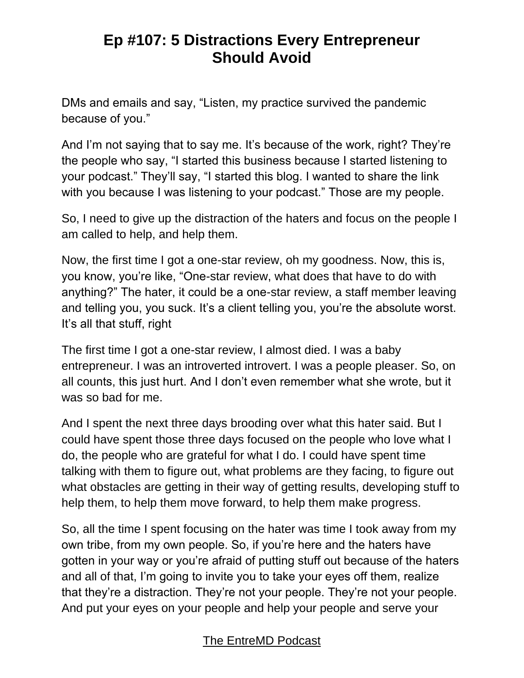DMs and emails and say, "Listen, my practice survived the pandemic because of you."

And I'm not saying that to say me. It's because of the work, right? They're the people who say, "I started this business because I started listening to your podcast." They'll say, "I started this blog. I wanted to share the link with you because I was listening to your podcast." Those are my people.

So, I need to give up the distraction of the haters and focus on the people I am called to help, and help them.

Now, the first time I got a one-star review, oh my goodness. Now, this is, you know, you're like, "One-star review, what does that have to do with anything?" The hater, it could be a one-star review, a staff member leaving and telling you, you suck. It's a client telling you, you're the absolute worst. It's all that stuff, right

The first time I got a one-star review, I almost died. I was a baby entrepreneur. I was an introverted introvert. I was a people pleaser. So, on all counts, this just hurt. And I don't even remember what she wrote, but it was so bad for me.

And I spent the next three days brooding over what this hater said. But I could have spent those three days focused on the people who love what I do, the people who are grateful for what I do. I could have spent time talking with them to figure out, what problems are they facing, to figure out what obstacles are getting in their way of getting results, developing stuff to help them, to help them move forward, to help them make progress.

So, all the time I spent focusing on the hater was time I took away from my own tribe, from my own people. So, if you're here and the haters have gotten in your way or you're afraid of putting stuff out because of the haters and all of that, I'm going to invite you to take your eyes off them, realize that they're a distraction. They're not your people. They're not your people. And put your eyes on your people and help your people and serve your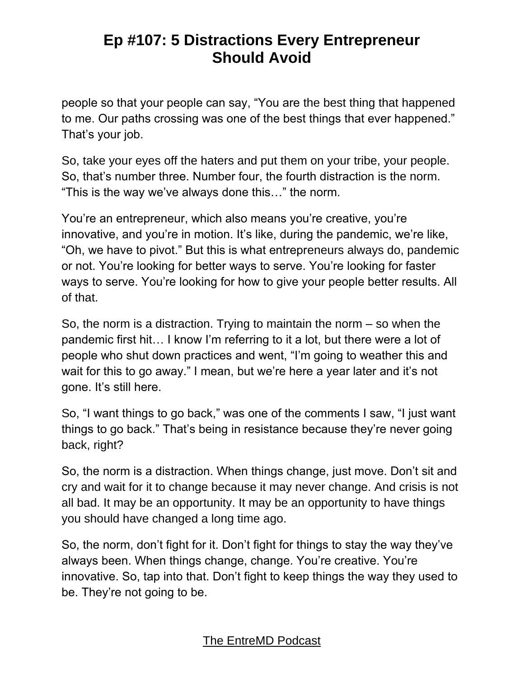people so that your people can say, "You are the best thing that happened to me. Our paths crossing was one of the best things that ever happened." That's your job.

So, take your eyes off the haters and put them on your tribe, your people. So, that's number three. Number four, the fourth distraction is the norm. "This is the way we've always done this…" the norm.

You're an entrepreneur, which also means you're creative, you're innovative, and you're in motion. It's like, during the pandemic, we're like, "Oh, we have to pivot." But this is what entrepreneurs always do, pandemic or not. You're looking for better ways to serve. You're looking for faster ways to serve. You're looking for how to give your people better results. All of that.

So, the norm is a distraction. Trying to maintain the norm – so when the pandemic first hit… I know I'm referring to it a lot, but there were a lot of people who shut down practices and went, "I'm going to weather this and wait for this to go away." I mean, but we're here a year later and it's not gone. It's still here.

So, "I want things to go back," was one of the comments I saw, "I just want things to go back." That's being in resistance because they're never going back, right?

So, the norm is a distraction. When things change, just move. Don't sit and cry and wait for it to change because it may never change. And crisis is not all bad. It may be an opportunity. It may be an opportunity to have things you should have changed a long time ago.

So, the norm, don't fight for it. Don't fight for things to stay the way they've always been. When things change, change. You're creative. You're innovative. So, tap into that. Don't fight to keep things the way they used to be. They're not going to be.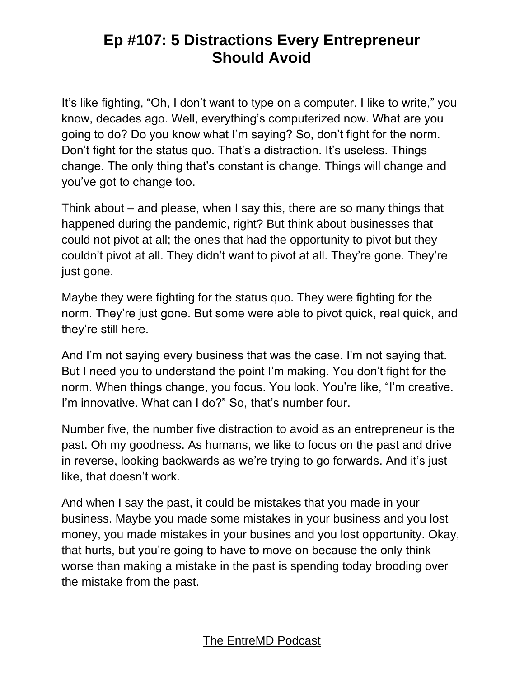It's like fighting, "Oh, I don't want to type on a computer. I like to write," you know, decades ago. Well, everything's computerized now. What are you going to do? Do you know what I'm saying? So, don't fight for the norm. Don't fight for the status quo. That's a distraction. It's useless. Things change. The only thing that's constant is change. Things will change and you've got to change too.

Think about – and please, when I say this, there are so many things that happened during the pandemic, right? But think about businesses that could not pivot at all; the ones that had the opportunity to pivot but they couldn't pivot at all. They didn't want to pivot at all. They're gone. They're just gone.

Maybe they were fighting for the status quo. They were fighting for the norm. They're just gone. But some were able to pivot quick, real quick, and they're still here.

And I'm not saying every business that was the case. I'm not saying that. But I need you to understand the point I'm making. You don't fight for the norm. When things change, you focus. You look. You're like, "I'm creative. I'm innovative. What can I do?" So, that's number four.

Number five, the number five distraction to avoid as an entrepreneur is the past. Oh my goodness. As humans, we like to focus on the past and drive in reverse, looking backwards as we're trying to go forwards. And it's just like, that doesn't work.

And when I say the past, it could be mistakes that you made in your business. Maybe you made some mistakes in your business and you lost money, you made mistakes in your busines and you lost opportunity. Okay, that hurts, but you're going to have to move on because the only think worse than making a mistake in the past is spending today brooding over the mistake from the past.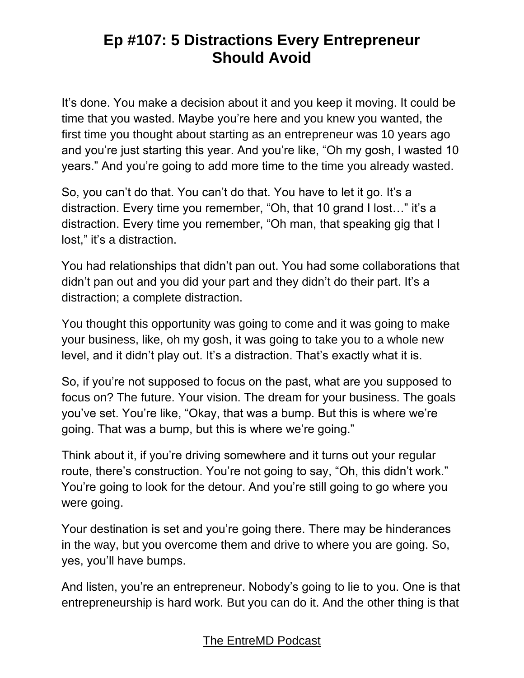It's done. You make a decision about it and you keep it moving. It could be time that you wasted. Maybe you're here and you knew you wanted, the first time you thought about starting as an entrepreneur was 10 years ago and you're just starting this year. And you're like, "Oh my gosh, I wasted 10 years." And you're going to add more time to the time you already wasted.

So, you can't do that. You can't do that. You have to let it go. It's a distraction. Every time you remember, "Oh, that 10 grand I lost…" it's a distraction. Every time you remember, "Oh man, that speaking gig that I lost," it's a distraction.

You had relationships that didn't pan out. You had some collaborations that didn't pan out and you did your part and they didn't do their part. It's a distraction; a complete distraction.

You thought this opportunity was going to come and it was going to make your business, like, oh my gosh, it was going to take you to a whole new level, and it didn't play out. It's a distraction. That's exactly what it is.

So, if you're not supposed to focus on the past, what are you supposed to focus on? The future. Your vision. The dream for your business. The goals you've set. You're like, "Okay, that was a bump. But this is where we're going. That was a bump, but this is where we're going."

Think about it, if you're driving somewhere and it turns out your regular route, there's construction. You're not going to say, "Oh, this didn't work." You're going to look for the detour. And you're still going to go where you were going.

Your destination is set and you're going there. There may be hinderances in the way, but you overcome them and drive to where you are going. So, yes, you'll have bumps.

And listen, you're an entrepreneur. Nobody's going to lie to you. One is that entrepreneurship is hard work. But you can do it. And the other thing is that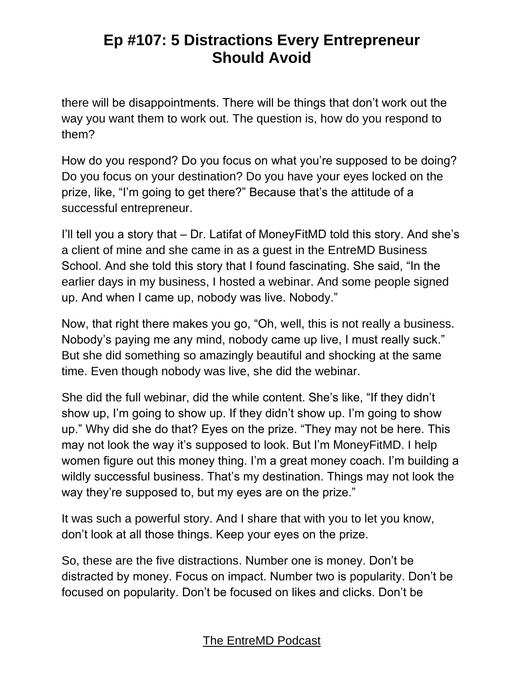there will be disappointments. There will be things that don't work out the way you want them to work out. The question is, how do you respond to them?

How do you respond? Do you focus on what you're supposed to be doing? Do you focus on your destination? Do you have your eyes locked on the prize, like, "I'm going to get there?" Because that's the attitude of a successful entrepreneur.

I'll tell you a story that – Dr. Latifat of MoneyFitMD told this story. And she's a client of mine and she came in as a guest in the EntreMD Business School. And she told this story that I found fascinating. She said, "In the earlier days in my business, I hosted a webinar. And some people signed up. And when I came up, nobody was live. Nobody."

Now, that right there makes you go, "Oh, well, this is not really a business. Nobody's paying me any mind, nobody came up live, I must really suck." But she did something so amazingly beautiful and shocking at the same time. Even though nobody was live, she did the webinar.

She did the full webinar, did the while content. She's like, "If they didn't show up, I'm going to show up. If they didn't show up. I'm going to show up." Why did she do that? Eyes on the prize. "They may not be here. This may not look the way it's supposed to look. But I'm MoneyFitMD. I help women figure out this money thing. I'm a great money coach. I'm building a wildly successful business. That's my destination. Things may not look the way they're supposed to, but my eyes are on the prize."

It was such a powerful story. And I share that with you to let you know, don't look at all those things. Keep your eyes on the prize.

So, these are the five distractions. Number one is money. Don't be distracted by money. Focus on impact. Number two is popularity. Don't be focused on popularity. Don't be focused on likes and clicks. Don't be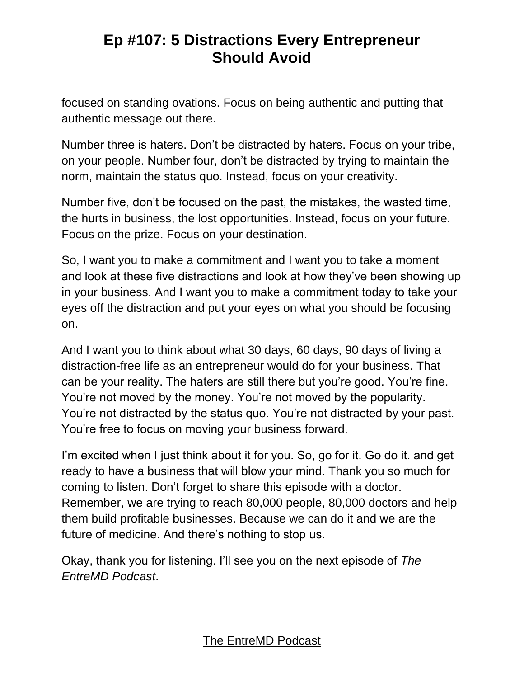focused on standing ovations. Focus on being authentic and putting that authentic message out there.

Number three is haters. Don't be distracted by haters. Focus on your tribe, on your people. Number four, don't be distracted by trying to maintain the norm, maintain the status quo. Instead, focus on your creativity.

Number five, don't be focused on the past, the mistakes, the wasted time, the hurts in business, the lost opportunities. Instead, focus on your future. Focus on the prize. Focus on your destination.

So, I want you to make a commitment and I want you to take a moment and look at these five distractions and look at how they've been showing up in your business. And I want you to make a commitment today to take your eyes off the distraction and put your eyes on what you should be focusing on.

And I want you to think about what 30 days, 60 days, 90 days of living a distraction-free life as an entrepreneur would do for your business. That can be your reality. The haters are still there but you're good. You're fine. You're not moved by the money. You're not moved by the popularity. You're not distracted by the status quo. You're not distracted by your past. You're free to focus on moving your business forward.

I'm excited when I just think about it for you. So, go for it. Go do it. and get ready to have a business that will blow your mind. Thank you so much for coming to listen. Don't forget to share this episode with a doctor. Remember, we are trying to reach 80,000 people, 80,000 doctors and help them build profitable businesses. Because we can do it and we are the future of medicine. And there's nothing to stop us.

Okay, thank you for listening. I'll see you on the next episode of *The EntreMD Podcast*.